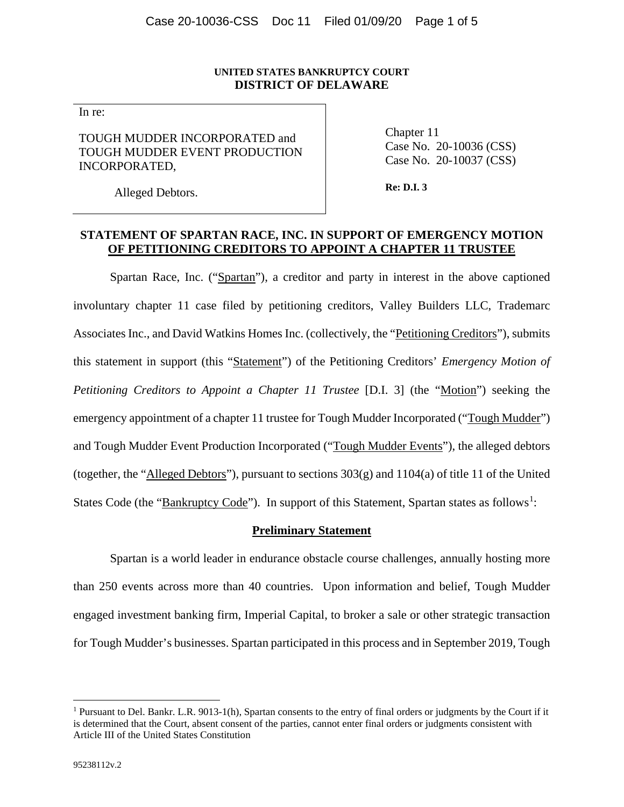## **UNITED STATES BANKRUPTCY COURT DISTRICT OF DELAWARE**

In re:

TOUGH MUDDER INCORPORATED and TOUGH MUDDER EVENT PRODUCTION INCORPORATED,

Chapter 11 Case No. 20-10036 (CSS) Case No. 20-10037 (CSS)

Alleged Debtors.

**Re: D.I. 3**

# **STATEMENT OF SPARTAN RACE, INC. IN SUPPORT OF EMERGENCY MOTION OF PETITIONING CREDITORS TO APPOINT A CHAPTER 11 TRUSTEE**

Spartan Race, Inc. ("Spartan"), a creditor and party in interest in the above captioned involuntary chapter 11 case filed by petitioning creditors, Valley Builders LLC, Trademarc Associates Inc., and David Watkins Homes Inc. (collectively, the "Petitioning Creditors"), submits this statement in support (this "Statement") of the Petitioning Creditors' *Emergency Motion of Petitioning Creditors to Appoint a Chapter 11 Trustee* [D.I. 3] (the "Motion") seeking the emergency appointment of a chapter 11 trustee for Tough Mudder Incorporated ("Tough Mudder") and Tough Mudder Event Production Incorporated ("Tough Mudder Events"), the alleged debtors (together, the "Alleged Debtors"), pursuant to sections  $303(g)$  and  $1104(a)$  of title 11 of the United States Code (the "Bankruptcy Code"). In support of this Statement, Spartan states as follows<sup>1</sup>:

### **Preliminary Statement**

Spartan is a world leader in endurance obstacle course challenges, annually hosting more than 250 events across more than 40 countries. Upon information and belief, Tough Mudder engaged investment banking firm, Imperial Capital, to broker a sale or other strategic transaction for Tough Mudder's businesses. Spartan participated in this process and in September 2019, Tough

<sup>&</sup>lt;sup>1</sup> Pursuant to Del. Bankr. L.R. 9013-1(h), Spartan consents to the entry of final orders or judgments by the Court if it is determined that the Court, absent consent of the parties, cannot enter final orders or judgments consistent with Article III of the United States Constitution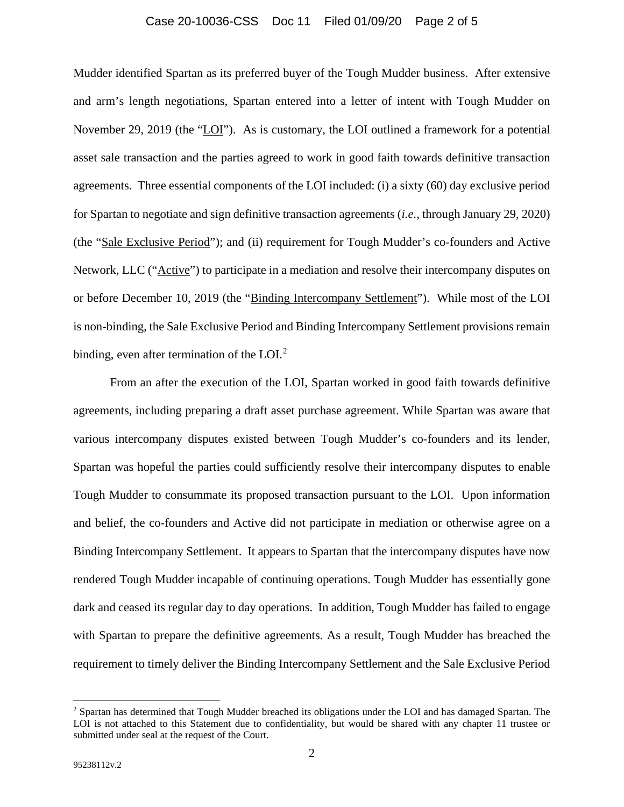## Case 20-10036-CSS Doc 11 Filed 01/09/20 Page 2 of 5

Mudder identified Spartan as its preferred buyer of the Tough Mudder business. After extensive and arm's length negotiations, Spartan entered into a letter of intent with Tough Mudder on November 29, 2019 (the "LOI"). As is customary, the LOI outlined a framework for a potential asset sale transaction and the parties agreed to work in good faith towards definitive transaction agreements. Three essential components of the LOI included: (i) a sixty (60) day exclusive period for Spartan to negotiate and sign definitive transaction agreements (*i.e.*, through January 29, 2020) (the "Sale Exclusive Period"); and (ii) requirement for Tough Mudder's co-founders and Active Network, LLC ("Active") to participate in a mediation and resolve their intercompany disputes on or before December 10, 2019 (the "Binding Intercompany Settlement"). While most of the LOI is non-binding, the Sale Exclusive Period and Binding Intercompany Settlement provisions remain binding, even after termination of the LOI. $2$ 

From an after the execution of the LOI, Spartan worked in good faith towards definitive agreements, including preparing a draft asset purchase agreement. While Spartan was aware that various intercompany disputes existed between Tough Mudder's co-founders and its lender, Spartan was hopeful the parties could sufficiently resolve their intercompany disputes to enable Tough Mudder to consummate its proposed transaction pursuant to the LOI. Upon information and belief, the co-founders and Active did not participate in mediation or otherwise agree on a Binding Intercompany Settlement. It appears to Spartan that the intercompany disputes have now rendered Tough Mudder incapable of continuing operations. Tough Mudder has essentially gone dark and ceased its regular day to day operations. In addition, Tough Mudder has failed to engage with Spartan to prepare the definitive agreements. As a result, Tough Mudder has breached the requirement to timely deliver the Binding Intercompany Settlement and the Sale Exclusive Period

<sup>&</sup>lt;sup>2</sup> Spartan has determined that Tough Mudder breached its obligations under the LOI and has damaged Spartan. The LOI is not attached to this Statement due to confidentiality, but would be shared with any chapter 11 trustee or submitted under seal at the request of the Court.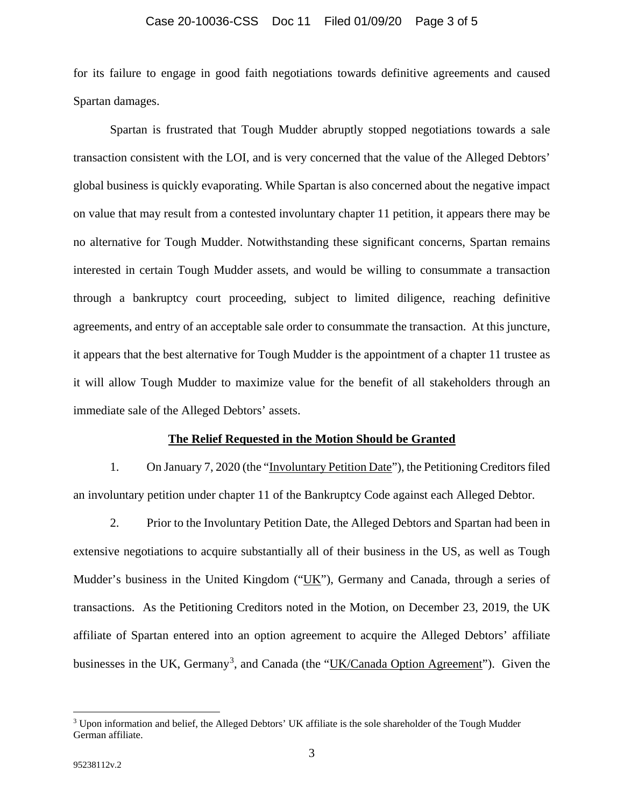for its failure to engage in good faith negotiations towards definitive agreements and caused Spartan damages.

Spartan is frustrated that Tough Mudder abruptly stopped negotiations towards a sale transaction consistent with the LOI, and is very concerned that the value of the Alleged Debtors' global business is quickly evaporating. While Spartan is also concerned about the negative impact on value that may result from a contested involuntary chapter 11 petition, it appears there may be no alternative for Tough Mudder. Notwithstanding these significant concerns, Spartan remains interested in certain Tough Mudder assets, and would be willing to consummate a transaction through a bankruptcy court proceeding, subject to limited diligence, reaching definitive agreements, and entry of an acceptable sale order to consummate the transaction. At this juncture, it appears that the best alternative for Tough Mudder is the appointment of a chapter 11 trustee as it will allow Tough Mudder to maximize value for the benefit of all stakeholders through an immediate sale of the Alleged Debtors' assets.

#### **The Relief Requested in the Motion Should be Granted**

1. On January 7, 2020 (the "Involuntary Petition Date"), the Petitioning Creditors filed an involuntary petition under chapter 11 of the Bankruptcy Code against each Alleged Debtor.

2. Prior to the Involuntary Petition Date, the Alleged Debtors and Spartan had been in extensive negotiations to acquire substantially all of their business in the US, as well as Tough Mudder's business in the United Kingdom ("UK"), Germany and Canada, through a series of transactions. As the Petitioning Creditors noted in the Motion, on December 23, 2019, the UK affiliate of Spartan entered into an option agreement to acquire the Alleged Debtors' affiliate businesses in the UK, Germany<sup>3</sup>, and Canada (the "UK/Canada Option Agreement"). Given the

<sup>&</sup>lt;sup>3</sup> Upon information and belief, the Alleged Debtors' UK affiliate is the sole shareholder of the Tough Mudder German affiliate.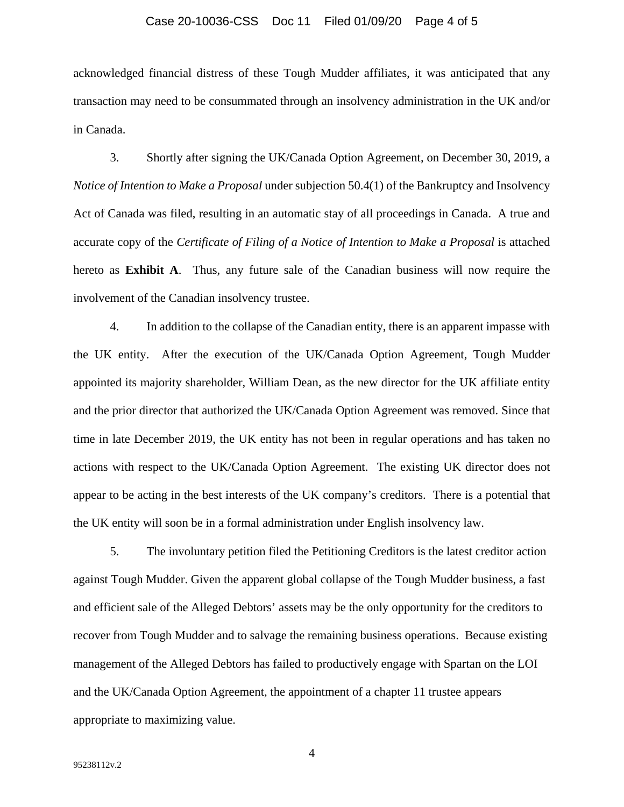#### Case 20-10036-CSS Doc 11 Filed 01/09/20 Page 4 of 5

acknowledged financial distress of these Tough Mudder affiliates, it was anticipated that any transaction may need to be consummated through an insolvency administration in the UK and/or in Canada.

3. Shortly after signing the UK/Canada Option Agreement, on December 30, 2019, a *Notice of Intention to Make a Proposal* under subjection 50.4(1) of the Bankruptcy and Insolvency Act of Canada was filed, resulting in an automatic stay of all proceedings in Canada. A true and accurate copy of the *Certificate of Filing of a Notice of Intention to Make a Proposal* is attached hereto as **Exhibit A**. Thus, any future sale of the Canadian business will now require the involvement of the Canadian insolvency trustee.

4. In addition to the collapse of the Canadian entity, there is an apparent impasse with the UK entity. After the execution of the UK/Canada Option Agreement, Tough Mudder appointed its majority shareholder, William Dean, as the new director for the UK affiliate entity and the prior director that authorized the UK/Canada Option Agreement was removed. Since that time in late December 2019, the UK entity has not been in regular operations and has taken no actions with respect to the UK/Canada Option Agreement. The existing UK director does not appear to be acting in the best interests of the UK company's creditors. There is a potential that the UK entity will soon be in a formal administration under English insolvency law.

5. The involuntary petition filed the Petitioning Creditors is the latest creditor action against Tough Mudder. Given the apparent global collapse of the Tough Mudder business, a fast and efficient sale of the Alleged Debtors' assets may be the only opportunity for the creditors to recover from Tough Mudder and to salvage the remaining business operations. Because existing management of the Alleged Debtors has failed to productively engage with Spartan on the LOI and the UK/Canada Option Agreement, the appointment of a chapter 11 trustee appears appropriate to maximizing value.

4